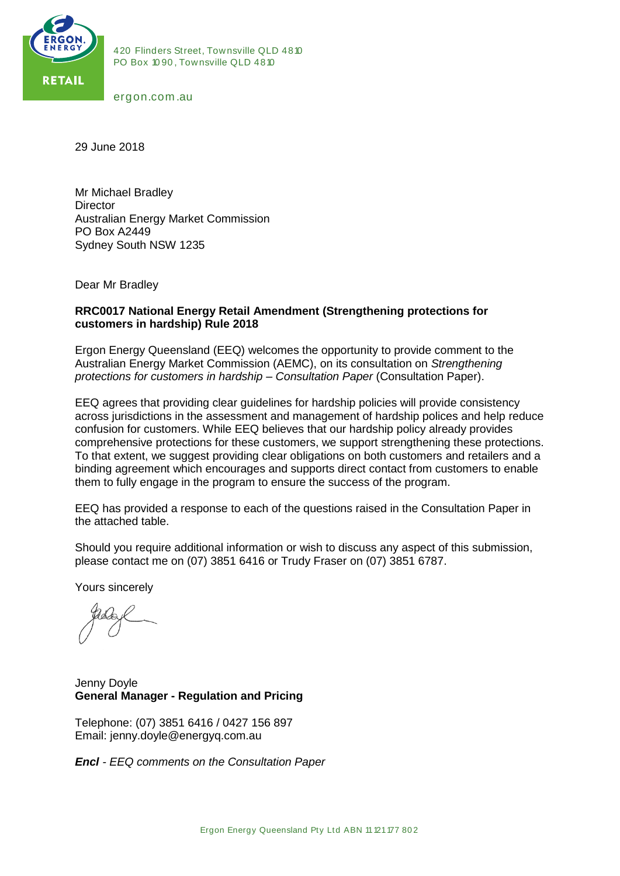

420 Flinders Street, Townsville QLD 4810<br>PO Box 1090, Townsville QLD 4810 420 Flinders Street, Townsville QLI<br>PO Box 1090, Townsville QLD 4810 420 Flinders Stre<br>PO Box 1090, Tov<br>ergon.com .au

29 June 2018

Mr Michael Bradley **Director** Australian Energy Market Commission PO Box A2449 Sydney South NSW 1235

Dear Mr Bradley

#### **RRC0017 National Energy Retail Amendment (Strengthening protections for customers in hardship) Rule 2018**

Ergon Energy Queensland (EEQ) welcomes the opportunity to provide comment to the Australian Energy Market Commission (AEMC), on its consultation on *Strengthening protections for customers in hardship – Consultation Paper* (Consultation Paper).

EEQ agrees that providing clear guidelines for hardship policies will provide consistency across jurisdictions in the assessment and management of hardship polices and help reduce confusion for customers. While EEQ believes that our hardship policy already provides comprehensive protections for these customers, we support strengthening these protections. To that extent, we suggest providing clear obligations on both customers and retailers and a binding agreement which encourages and supports direct contact from customers to enable them to fully engage in the program to ensure the success of the program.

EEQ has provided a response to each of the questions raised in the Consultation Paper in the attached table.

Should you require additional information or wish to discuss any aspect of this submission, please contact me on (07) 3851 6416 or Trudy Fraser on (07) 3851 6787.

Yours sincerely

Jenny Doyle **General Manager - Regulation and Pricing** 

Telephone: (07) 3851 6416 / 0427 156 897 Email: jenny.doyle@energyq.com.au

*Encl - EEQ comments on the Consultation Paper*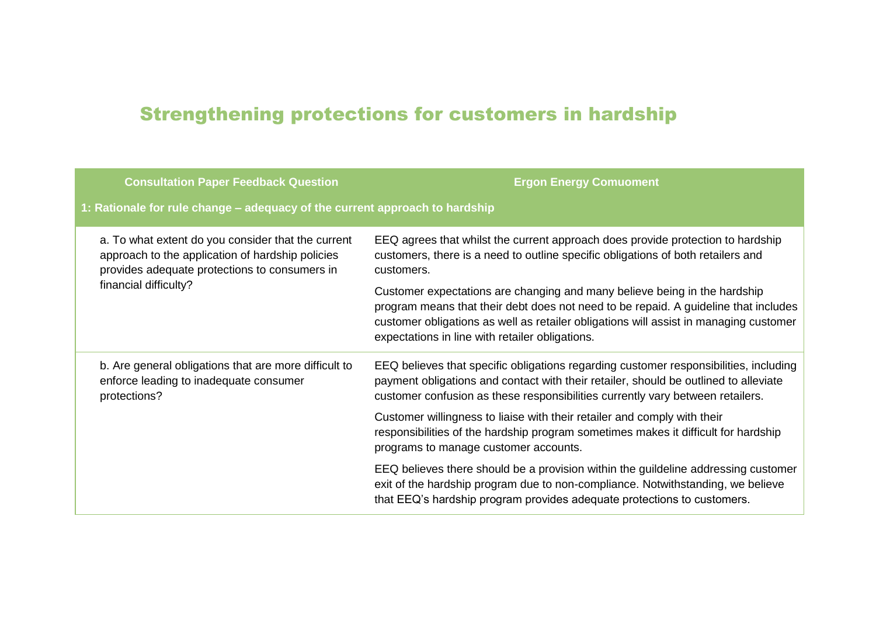# Strengthening protections for customers in hardship

| <b>Consultation Paper Feedback Question</b>                                                                                                                                      | <b>Ergon Energy Comuoment</b>                                                                                                                                                                                                                                                                                |  |  |
|----------------------------------------------------------------------------------------------------------------------------------------------------------------------------------|--------------------------------------------------------------------------------------------------------------------------------------------------------------------------------------------------------------------------------------------------------------------------------------------------------------|--|--|
| 1: Rationale for rule change – adequacy of the current approach to hardship                                                                                                      |                                                                                                                                                                                                                                                                                                              |  |  |
| a. To what extent do you consider that the current<br>approach to the application of hardship policies<br>provides adequate protections to consumers in<br>financial difficulty? | EEQ agrees that whilst the current approach does provide protection to hardship<br>customers, there is a need to outline specific obligations of both retailers and<br>customers.                                                                                                                            |  |  |
|                                                                                                                                                                                  | Customer expectations are changing and many believe being in the hardship<br>program means that their debt does not need to be repaid. A guideline that includes<br>customer obligations as well as retailer obligations will assist in managing customer<br>expectations in line with retailer obligations. |  |  |
| b. Are general obligations that are more difficult to<br>enforce leading to inadequate consumer<br>protections?                                                                  | EEQ believes that specific obligations regarding customer responsibilities, including<br>payment obligations and contact with their retailer, should be outlined to alleviate<br>customer confusion as these responsibilities currently vary between retailers.                                              |  |  |
|                                                                                                                                                                                  | Customer willingness to liaise with their retailer and comply with their<br>responsibilities of the hardship program sometimes makes it difficult for hardship<br>programs to manage customer accounts.                                                                                                      |  |  |
|                                                                                                                                                                                  | EEQ believes there should be a provision within the guildeline addressing customer<br>exit of the hardship program due to non-compliance. Notwithstanding, we believe<br>that EEQ's hardship program provides adequate protections to customers.                                                             |  |  |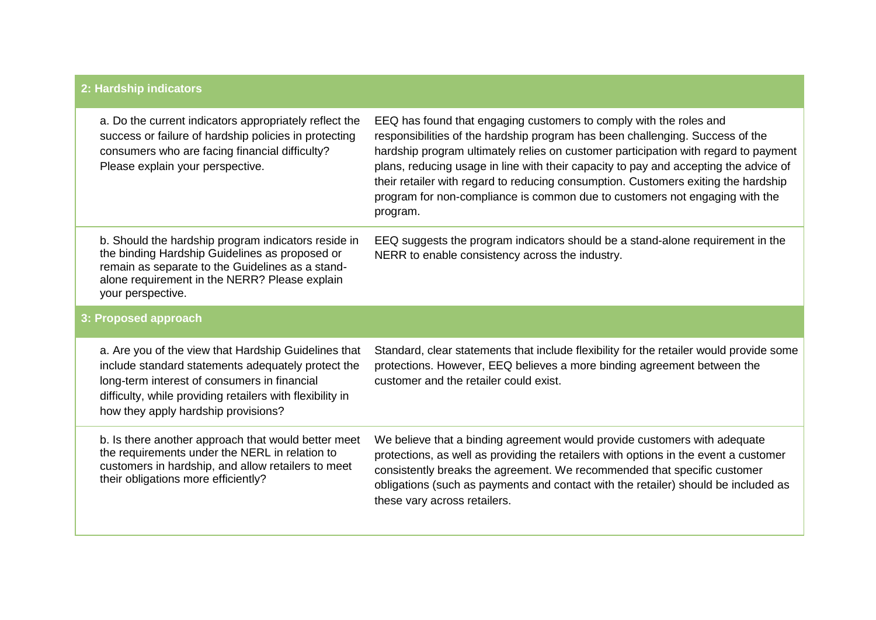## **2: Hardship indicators**

|                      | a. Do the current indicators appropriately reflect the<br>success or failure of hardship policies in protecting<br>consumers who are facing financial difficulty?<br>Please explain your perspective.                                                          | EEQ has found that engaging customers to comply with the roles and<br>responsibilities of the hardship program has been challenging. Success of the<br>hardship program ultimately relies on customer participation with regard to payment<br>plans, reducing usage in line with their capacity to pay and accepting the advice of<br>their retailer with regard to reducing consumption. Customers exiting the hardship<br>program for non-compliance is common due to customers not engaging with the<br>program. |
|----------------------|----------------------------------------------------------------------------------------------------------------------------------------------------------------------------------------------------------------------------------------------------------------|---------------------------------------------------------------------------------------------------------------------------------------------------------------------------------------------------------------------------------------------------------------------------------------------------------------------------------------------------------------------------------------------------------------------------------------------------------------------------------------------------------------------|
|                      | b. Should the hardship program indicators reside in<br>the binding Hardship Guidelines as proposed or<br>remain as separate to the Guidelines as a stand-<br>alone requirement in the NERR? Please explain<br>your perspective.                                | EEQ suggests the program indicators should be a stand-alone requirement in the<br>NERR to enable consistency across the industry.                                                                                                                                                                                                                                                                                                                                                                                   |
| 3: Proposed approach |                                                                                                                                                                                                                                                                |                                                                                                                                                                                                                                                                                                                                                                                                                                                                                                                     |
|                      | a. Are you of the view that Hardship Guidelines that<br>include standard statements adequately protect the<br>long-term interest of consumers in financial<br>difficulty, while providing retailers with flexibility in<br>how they apply hardship provisions? | Standard, clear statements that include flexibility for the retailer would provide some<br>protections. However, EEQ believes a more binding agreement between the<br>customer and the retailer could exist.                                                                                                                                                                                                                                                                                                        |
|                      | b. Is there another approach that would better meet<br>the requirements under the NERL in relation to<br>customers in hardship, and allow retailers to meet<br>their obligations more efficiently?                                                             | We believe that a binding agreement would provide customers with adequate<br>protections, as well as providing the retailers with options in the event a customer<br>consistently breaks the agreement. We recommended that specific customer<br>obligations (such as payments and contact with the retailer) should be included as<br>these vary across retailers.                                                                                                                                                 |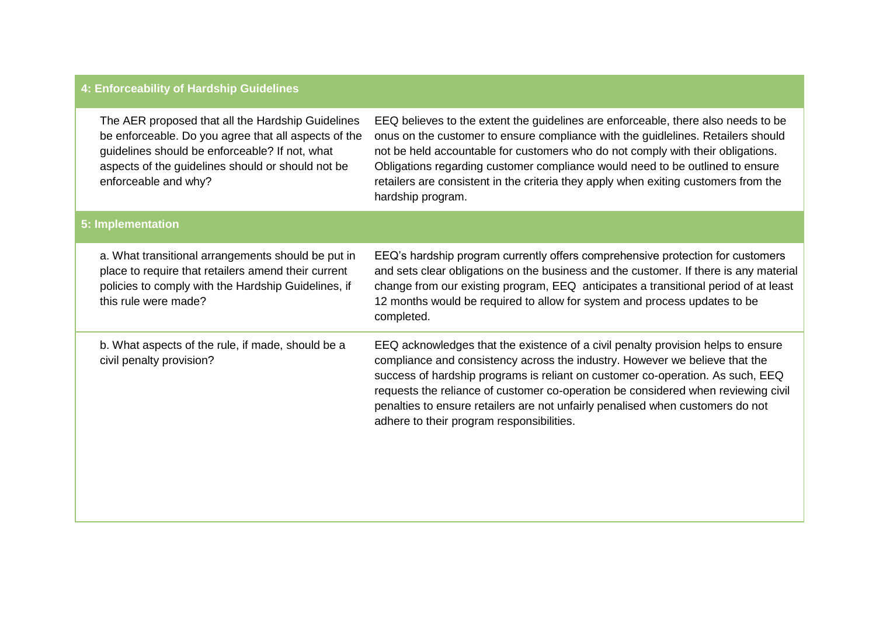## **4: Enforceability of Hardship Guidelines**

| The AER proposed that all the Hardship Guidelines<br>be enforceable. Do you agree that all aspects of the<br>guidelines should be enforceable? If not, what<br>aspects of the guidelines should or should not be<br>enforceable and why? | EEQ believes to the extent the guidelines are enforceable, there also needs to be<br>onus on the customer to ensure compliance with the guidlelines. Retailers should<br>not be held accountable for customers who do not comply with their obligations.<br>Obligations regarding customer compliance would need to be outlined to ensure<br>retailers are consistent in the criteria they apply when exiting customers from the<br>hardship program.                 |  |  |  |
|------------------------------------------------------------------------------------------------------------------------------------------------------------------------------------------------------------------------------------------|-----------------------------------------------------------------------------------------------------------------------------------------------------------------------------------------------------------------------------------------------------------------------------------------------------------------------------------------------------------------------------------------------------------------------------------------------------------------------|--|--|--|
| 5: Implementation                                                                                                                                                                                                                        |                                                                                                                                                                                                                                                                                                                                                                                                                                                                       |  |  |  |
| a. What transitional arrangements should be put in<br>place to require that retailers amend their current<br>policies to comply with the Hardship Guidelines, if<br>this rule were made?                                                 | EEQ's hardship program currently offers comprehensive protection for customers<br>and sets clear obligations on the business and the customer. If there is any material<br>change from our existing program, EEQ anticipates a transitional period of at least<br>12 months would be required to allow for system and process updates to be<br>completed.                                                                                                             |  |  |  |
| b. What aspects of the rule, if made, should be a<br>civil penalty provision?                                                                                                                                                            | EEQ acknowledges that the existence of a civil penalty provision helps to ensure<br>compliance and consistency across the industry. However we believe that the<br>success of hardship programs is reliant on customer co-operation. As such, EEQ<br>requests the reliance of customer co-operation be considered when reviewing civil<br>penalties to ensure retailers are not unfairly penalised when customers do not<br>adhere to their program responsibilities. |  |  |  |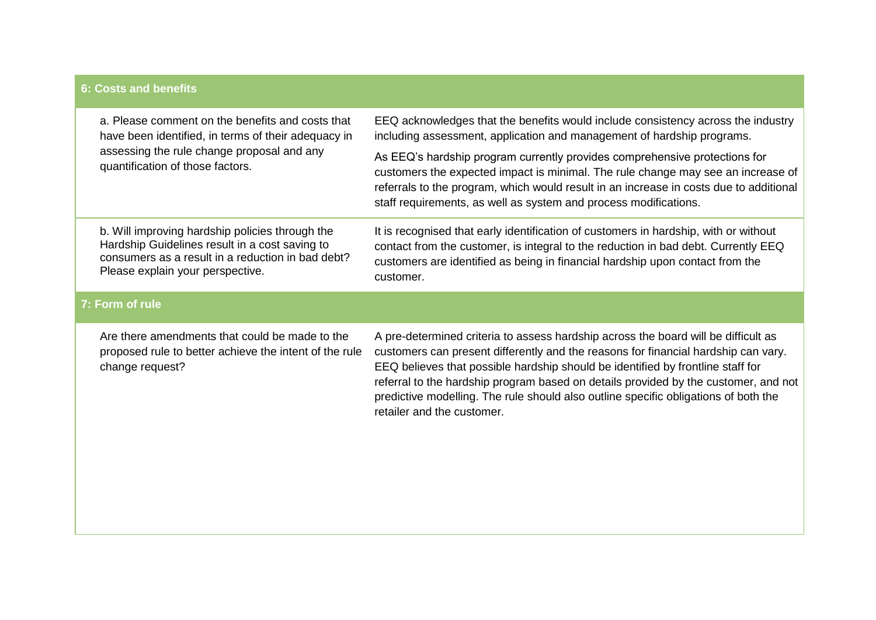### **6: Costs and benefits**

|                 | a. Please comment on the benefits and costs that<br>have been identified, in terms of their adequacy in<br>assessing the rule change proposal and any<br>quantification of those factors.  | EEQ acknowledges that the benefits would include consistency across the industry<br>including assessment, application and management of hardship programs.                                                                                                                                                                                                                                                                                                              |  |  |
|-----------------|--------------------------------------------------------------------------------------------------------------------------------------------------------------------------------------------|-------------------------------------------------------------------------------------------------------------------------------------------------------------------------------------------------------------------------------------------------------------------------------------------------------------------------------------------------------------------------------------------------------------------------------------------------------------------------|--|--|
|                 |                                                                                                                                                                                            | As EEQ's hardship program currently provides comprehensive protections for<br>customers the expected impact is minimal. The rule change may see an increase of<br>referrals to the program, which would result in an increase in costs due to additional<br>staff requirements, as well as system and process modifications.                                                                                                                                            |  |  |
|                 | b. Will improving hardship policies through the<br>Hardship Guidelines result in a cost saving to<br>consumers as a result in a reduction in bad debt?<br>Please explain your perspective. | It is recognised that early identification of customers in hardship, with or without<br>contact from the customer, is integral to the reduction in bad debt. Currently EEQ<br>customers are identified as being in financial hardship upon contact from the<br>customer.                                                                                                                                                                                                |  |  |
| 7: Form of rule |                                                                                                                                                                                            |                                                                                                                                                                                                                                                                                                                                                                                                                                                                         |  |  |
|                 | Are there amendments that could be made to the<br>proposed rule to better achieve the intent of the rule<br>change request?                                                                | A pre-determined criteria to assess hardship across the board will be difficult as<br>customers can present differently and the reasons for financial hardship can vary.<br>EEQ believes that possible hardship should be identified by frontline staff for<br>referral to the hardship program based on details provided by the customer, and not<br>predictive modelling. The rule should also outline specific obligations of both the<br>retailer and the customer. |  |  |